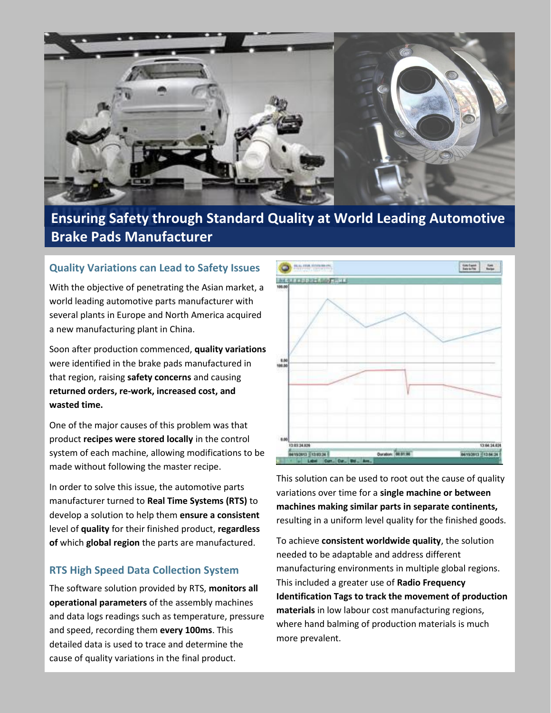

# **Ensuring Safety through Standard Quality at World Leading Automotive Brake Pads Manufacturer**

### **Quality Variations can Lead to Safety Issues**

With the objective of penetrating the Asian market, a world leading automotive parts manufacturer with several plants in Europe and North America acquired a new manufacturing plant in China.

Soon after production commenced, **quality variations**  were identified in the brake pads manufactured in that region, raising **safety concerns** and causing **returned orders, re-work, increased cost, and wasted time.**

One of the major causes of this problem was that product **recipes were stored locally** in the control system of each machine, allowing modifications to be made without following the master recipe.

In order to solve this issue, the automotive parts manufacturer turned to **Real Time Systems (RTS)** to develop a solution to help them **ensure a consistent** level of **quality** for their finished product, **regardless of** which **global region** the parts are manufactured.

#### **RTS High Speed Data Collection System**

The software solution provided by RTS, **monitors all operational parameters** of the assembly machines and data logs readings such as temperature, pressure and speed, recording them **every 100ms**. This detailed data is used to trace and determine the cause of quality variations in the final product.



This solution can be used to root out the cause of quality variations over time for a **single machine or between machines making similar parts in separate continents,** resulting in a uniform level quality for the finished goods.

To achieve **consistent worldwide quality**, the solution needed to be adaptable and address different manufacturing environments in multiple global regions. This included a greater use of **Radio Frequency Identification Tags to track the movement of production materials** in low labour cost manufacturing regions, where hand balming of production materials is much more prevalent.